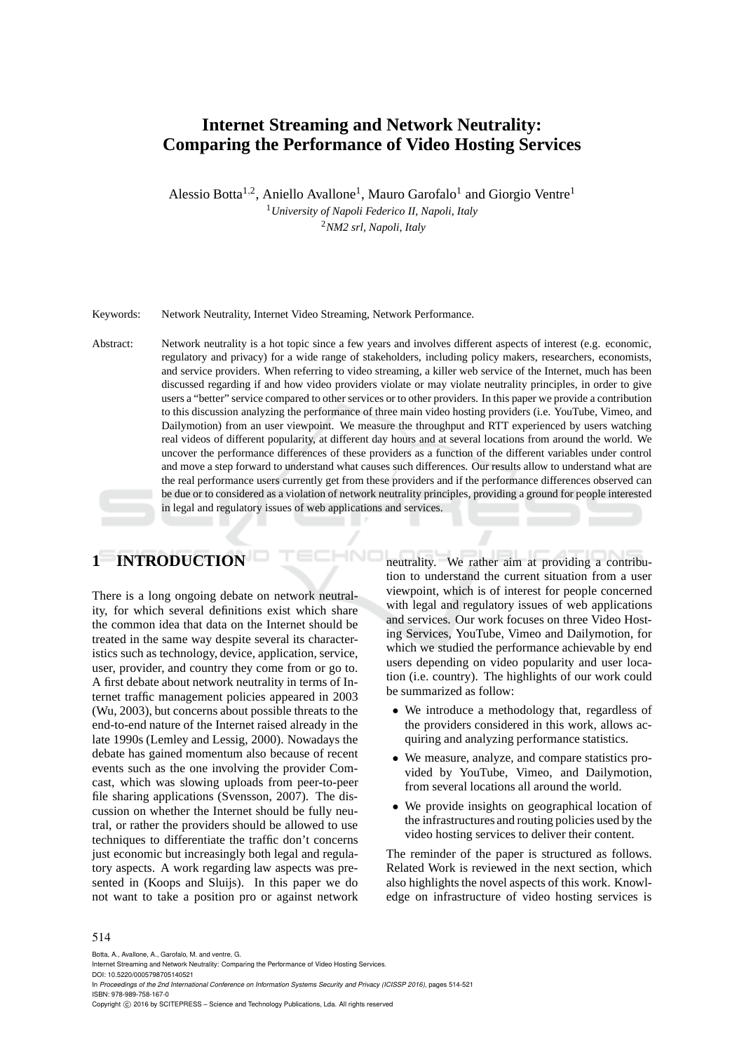# **Internet Streaming and Network Neutrality: Comparing the Performance of Video Hosting Services**

Alessio Botta<sup>1,2</sup>, Aniello Avallone<sup>1</sup>, Mauro Garofalo<sup>1</sup> and Giorgio Ventre<sup>1</sup>

<sup>1</sup>*University of Napoli Federico II, Napoli, Italy* <sup>2</sup>*NM2 srl, Napoli, Italy*

Keywords: Network Neutrality, Internet Video Streaming, Network Performance.

Abstract: Network neutrality is a hot topic since a few years and involves different aspects of interest (e.g. economic, regulatory and privacy) for a wide range of stakeholders, including policy makers, researchers, economists, and service providers. When referring to video streaming, a killer web service of the Internet, much has been discussed regarding if and how video providers violate or may violate neutrality principles, in order to give users a "better" service compared to other services or to other providers. In this paper we provide a contribution to this discussion analyzing the performance of three main video hosting providers (i.e. YouTube, Vimeo, and Dailymotion) from an user viewpoint. We measure the throughput and RTT experienced by users watching real videos of different popularity, at different day hours and at several locations from around the world. We uncover the performance differences of these providers as a function of the different variables under control and move a step forward to understand what causes such differences. Our results allow to understand what are the real performance users currently get from these providers and if the performance differences observed can be due or to considered as a violation of network neutrality principles, providing a ground for people interested in legal and regulatory issues of web applications and services.

НN

# **1 INTRODUCTION**

There is a long ongoing debate on network neutrality, for which several definitions exist which share the common idea that data on the Internet should be treated in the same way despite several its characteristics such as technology, device, application, service, user, provider, and country they come from or go to. A first debate about network neutrality in terms of Internet traffic management policies appeared in 2003 (Wu, 2003), but concerns about possible threats to the end-to-end nature of the Internet raised already in the late 1990s (Lemley and Lessig, 2000). Nowadays the debate has gained momentum also because of recent events such as the one involving the provider Comcast, which was slowing uploads from peer-to-peer file sharing applications (Svensson, 2007). The discussion on whether the Internet should be fully neutral, or rather the providers should be allowed to use techniques to differentiate the traffic don't concerns just economic but increasingly both legal and regulatory aspects. A work regarding law aspects was presented in (Koops and Sluijs). In this paper we do not want to take a position pro or against network neutrality. We rather aim at providing a contribution to understand the current situation from a user viewpoint, which is of interest for people concerned with legal and regulatory issues of web applications and services. Our work focuses on three Video Hosting Services, YouTube, Vimeo and Dailymotion, for which we studied the performance achievable by end users depending on video popularity and user location (i.e. country). The highlights of our work could be summarized as follow:

- We introduce a methodology that, regardless of the providers considered in this work, allows acquiring and analyzing performance statistics.
- We measure, analyze, and compare statistics provided by YouTube, Vimeo, and Dailymotion, from several locations all around the world.
- We provide insights on geographical location of the infrastructures and routing policies used by the video hosting services to deliver their content.

The reminder of the paper is structured as follows. Related Work is reviewed in the next section, which also highlights the novel aspects of this work. Knowledge on infrastructure of video hosting services is

#### 514

Botta, A., Avallone, A., Garofalo, M. and ventre, G.

In *Proceedings of the 2nd International Conference on Information Systems Security and Privacy (ICISSP 2016)*, pages 514-521 ISBN: 978-989-758-167-0

Copyright (C) 2016 by SCITEPRESS - Science and Technology Publications, Lda. All rights reserved

Internet Streaming and Network Neutrality: Comparing the Performance of Video Hosting Services.

DOI: 10.5220/0005798705140521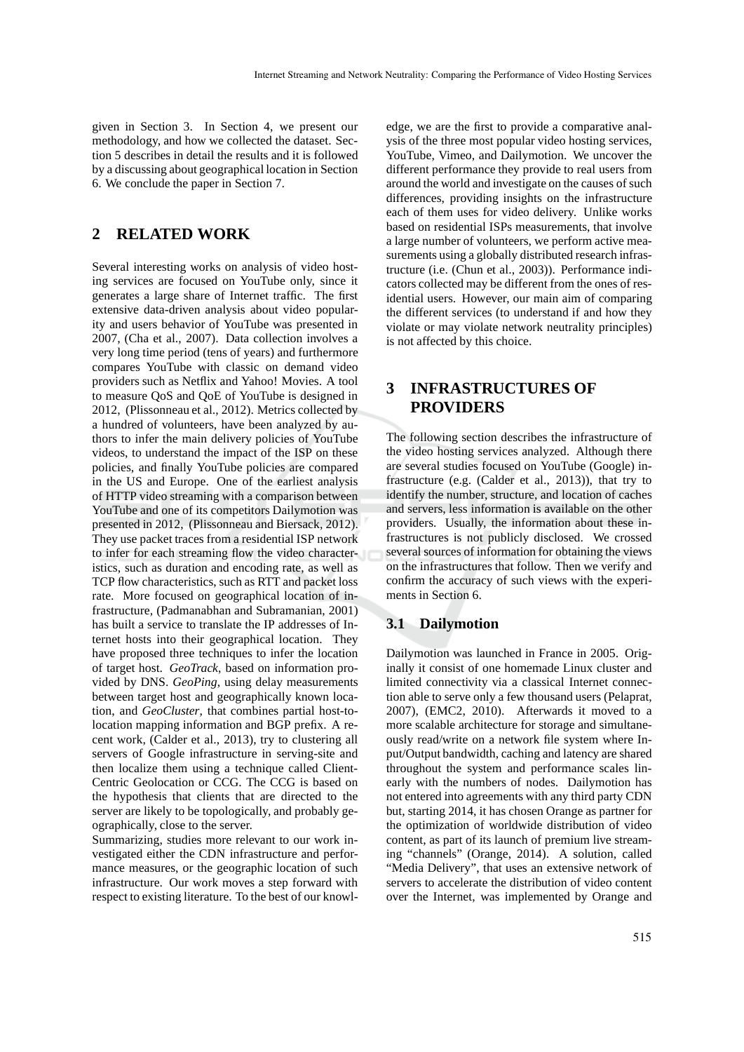given in Section 3. In Section 4, we present our methodology, and how we collected the dataset. Section 5 describes in detail the results and it is followed by a discussing about geographical location in Section 6. We conclude the paper in Section 7.

# **2 RELATED WORK**

Several interesting works on analysis of video hosting services are focused on YouTube only, since it generates a large share of Internet traffic. The first extensive data-driven analysis about video popularity and users behavior of YouTube was presented in 2007, (Cha et al., 2007). Data collection involves a very long time period (tens of years) and furthermore compares YouTube with classic on demand video providers such as Netflix and Yahoo! Movies. A tool to measure QoS and QoE of YouTube is designed in 2012, (Plissonneau et al., 2012). Metrics collected by a hundred of volunteers, have been analyzed by authors to infer the main delivery policies of YouTube videos, to understand the impact of the ISP on these policies, and finally YouTube policies are compared in the US and Europe. One of the earliest analysis of HTTP video streaming with a comparison between YouTube and one of its competitors Dailymotion was presented in 2012, (Plissonneau and Biersack, 2012). They use packet traces from a residential ISP network to infer for each streaming flow the video characteristics, such as duration and encoding rate, as well as TCP flow characteristics, such as RTT and packet loss rate. More focused on geographical location of infrastructure, (Padmanabhan and Subramanian, 2001) has built a service to translate the IP addresses of Internet hosts into their geographical location. They have proposed three techniques to infer the location of target host. *GeoTrack*, based on information provided by DNS. *GeoPing*, using delay measurements between target host and geographically known location, and *GeoCluster*, that combines partial host-tolocation mapping information and BGP prefix. A recent work, (Calder et al., 2013), try to clustering all servers of Google infrastructure in serving-site and then localize them using a technique called Client-Centric Geolocation or CCG. The CCG is based on the hypothesis that clients that are directed to the server are likely to be topologically, and probably geographically, close to the server.

Summarizing, studies more relevant to our work investigated either the CDN infrastructure and performance measures, or the geographic location of such infrastructure. Our work moves a step forward with respect to existing literature. To the best of our knowledge, we are the first to provide a comparative analysis of the three most popular video hosting services, YouTube, Vimeo, and Dailymotion. We uncover the different performance they provide to real users from around the world and investigate on the causes of such differences, providing insights on the infrastructure each of them uses for video delivery. Unlike works based on residential ISPs measurements, that involve a large number of volunteers, we perform active measurements using a globally distributed research infrastructure (i.e. (Chun et al., 2003)). Performance indicators collected may be different from the ones of residential users. However, our main aim of comparing the different services (to understand if and how they violate or may violate network neutrality principles) is not affected by this choice.

# **3 INFRASTRUCTURES OF PROVIDERS**

The following section describes the infrastructure of the video hosting services analyzed. Although there are several studies focused on YouTube (Google) infrastructure (e.g. (Calder et al., 2013)), that try to identify the number, structure, and location of caches and servers, less information is available on the other providers. Usually, the information about these infrastructures is not publicly disclosed. We crossed several sources of information for obtaining the views on the infrastructures that follow. Then we verify and confirm the accuracy of such views with the experiments in Section 6.

### **3.1 Dailymotion**

Dailymotion was launched in France in 2005. Originally it consist of one homemade Linux cluster and limited connectivity via a classical Internet connection able to serve only a few thousand users (Pelaprat, 2007), (EMC2, 2010). Afterwards it moved to a more scalable architecture for storage and simultaneously read/write on a network file system where Input/Output bandwidth, caching and latency are shared throughout the system and performance scales linearly with the numbers of nodes. Dailymotion has not entered into agreements with any third party CDN but, starting 2014, it has chosen Orange as partner for the optimization of worldwide distribution of video content, as part of its launch of premium live streaming "channels" (Orange, 2014). A solution, called "Media Delivery", that uses an extensive network of servers to accelerate the distribution of video content over the Internet, was implemented by Orange and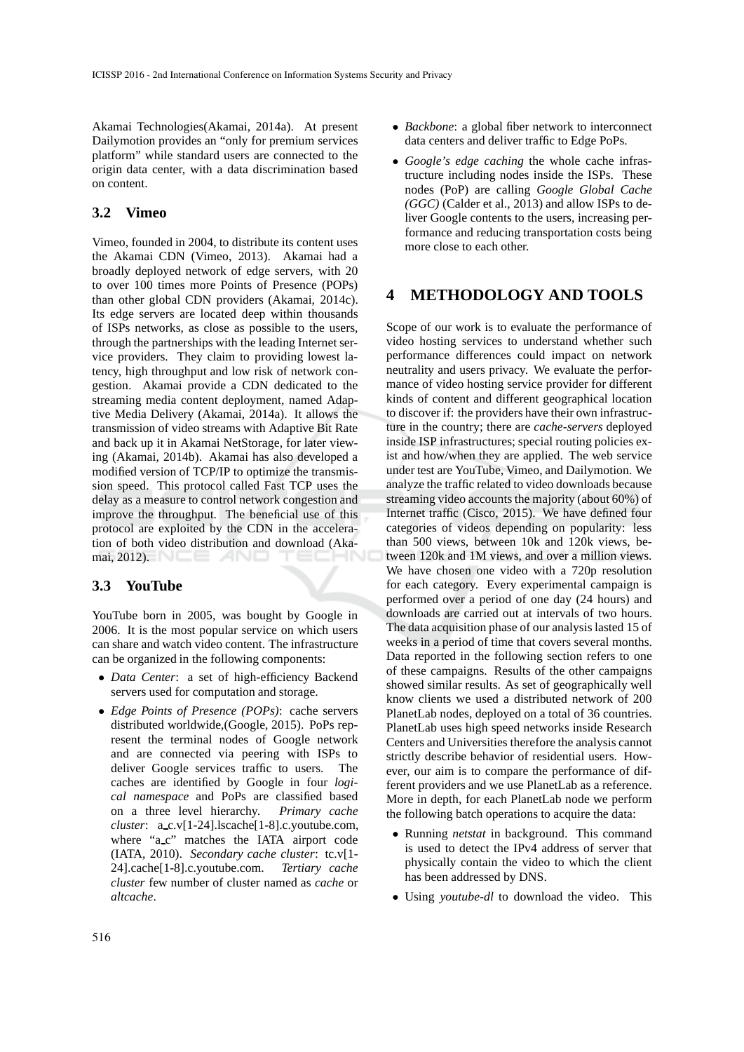Akamai Technologies(Akamai, 2014a). At present Dailymotion provides an "only for premium services platform" while standard users are connected to the origin data center, with a data discrimination based on content.

### **3.2 Vimeo**

Vimeo, founded in 2004, to distribute its content uses the Akamai CDN (Vimeo, 2013). Akamai had a broadly deployed network of edge servers, with 20 to over 100 times more Points of Presence (POPs) than other global CDN providers (Akamai, 2014c). Its edge servers are located deep within thousands of ISPs networks, as close as possible to the users, through the partnerships with the leading Internet service providers. They claim to providing lowest latency, high throughput and low risk of network congestion. Akamai provide a CDN dedicated to the streaming media content deployment, named Adaptive Media Delivery (Akamai, 2014a). It allows the transmission of video streams with Adaptive Bit Rate and back up it in Akamai NetStorage, for later viewing (Akamai, 2014b). Akamai has also developed a modified version of TCP/IP to optimize the transmission speed. This protocol called Fast TCP uses the delay as a measure to control network congestion and improve the throughput. The beneficial use of this protocol are exploited by the CDN in the acceleration of both video distribution and download (Akamai, 2012).  $\blacksquare$ 

### **3.3 YouTube**

YouTube born in 2005, was bought by Google in 2006. It is the most popular service on which users can share and watch video content. The infrastructure can be organized in the following components:

- *Data Center*: a set of high-efficiency Backend servers used for computation and storage.
- *Edge Points of Presence (POPs)*: cache servers distributed worldwide,(Google, 2015). PoPs represent the terminal nodes of Google network and are connected via peering with ISPs to deliver Google services traffic to users. The caches are identified by Google in four *logical namespace* and PoPs are classified based on a three level hierarchy. *Primary cache cluster*: a\_c.v[1-24].lscache[1-8].c.youtube.com, where "a\_c" matches the IATA airport code (IATA, 2010). *Secondary cache cluster*: tc.v[1- 24].cache[1-8].c.youtube.com. *Tertiary cache cluster* few number of cluster named as *cache* or *altcache*.
- *Backbone*: a global fiber network to interconnect data centers and deliver traffic to Edge PoPs.
- *Google's edge caching* the whole cache infrastructure including nodes inside the ISPs. These nodes (PoP) are calling *Google Global Cache (GGC)* (Calder et al., 2013) and allow ISPs to deliver Google contents to the users, increasing performance and reducing transportation costs being more close to each other.

# **4 METHODOLOGY AND TOOLS**

Scope of our work is to evaluate the performance of video hosting services to understand whether such performance differences could impact on network neutrality and users privacy. We evaluate the performance of video hosting service provider for different kinds of content and different geographical location to discover if: the providers have their own infrastructure in the country; there are *cache-servers* deployed inside ISP infrastructures; special routing policies exist and how/when they are applied. The web service under test are YouTube, Vimeo, and Dailymotion. We analyze the traffic related to video downloads because streaming video accounts the majority (about 60%) of Internet traffic (Cisco, 2015). We have defined four categories of videos depending on popularity: less than 500 views, between 10k and 120k views, between 120k and 1M views, and over a million views. We have chosen one video with a 720p resolution for each category. Every experimental campaign is performed over a period of one day (24 hours) and downloads are carried out at intervals of two hours. The data acquisition phase of our analysis lasted 15 of weeks in a period of time that covers several months. Data reported in the following section refers to one of these campaigns. Results of the other campaigns showed similar results. As set of geographically well know clients we used a distributed network of 200 PlanetLab nodes, deployed on a total of 36 countries. PlanetLab uses high speed networks inside Research Centers and Universities therefore the analysis cannot strictly describe behavior of residential users. However, our aim is to compare the performance of different providers and we use PlanetLab as a reference. More in depth, for each PlanetLab node we perform the following batch operations to acquire the data:

- Running *netstat* in background. This command is used to detect the IPv4 address of server that physically contain the video to which the client has been addressed by DNS.
- Using *youtube-dl* to download the video. This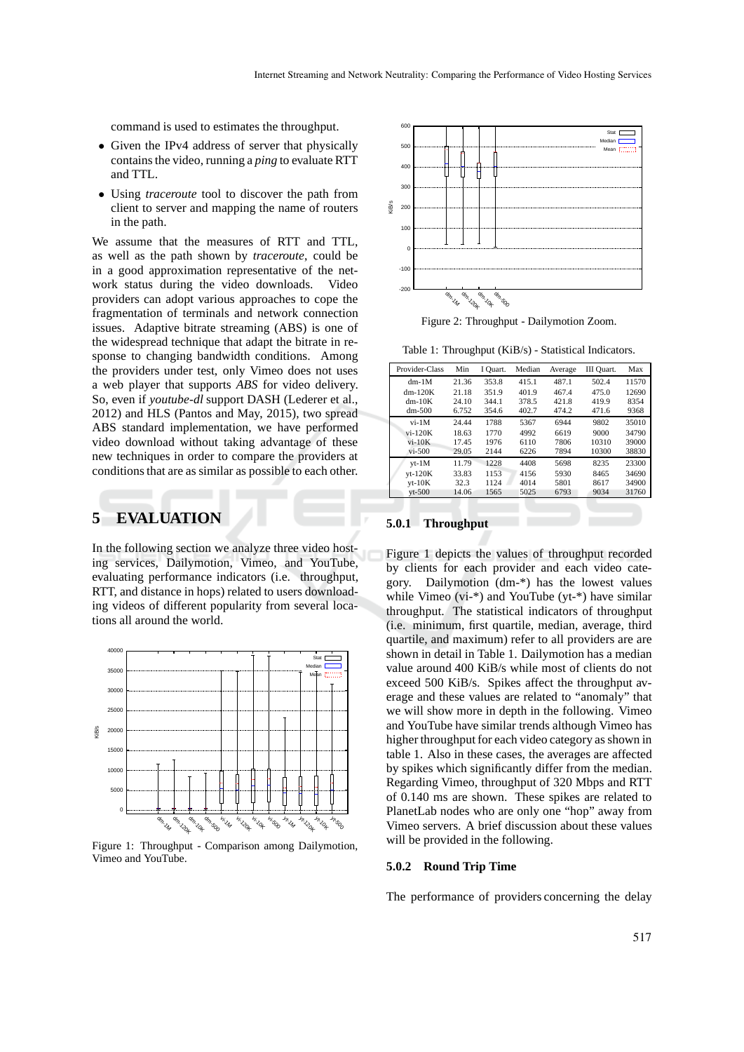command is used to estimates the throughput.

- Given the IPv4 address of server that physically contains the video, running a *ping* to evaluate RTT and TTL.
- Using *traceroute* tool to discover the path from client to server and mapping the name of routers in the path.

We assume that the measures of RTT and TTL, as well as the path shown by *traceroute*, could be in a good approximation representative of the network status during the video downloads. Video providers can adopt various approaches to cope the fragmentation of terminals and network connection issues. Adaptive bitrate streaming (ABS) is one of the widespread technique that adapt the bitrate in response to changing bandwidth conditions. Among the providers under test, only Vimeo does not uses a web player that supports *ABS* for video delivery. So, even if *youtube-dl* support DASH (Lederer et al., 2012) and HLS (Pantos and May, 2015), two spread ABS standard implementation, we have performed video download without taking advantage of these new techniques in order to compare the providers at conditions that are as similar as possible to each other.

# **5 EVALUATION**

In the following section we analyze three video hosting services, Dailymotion, Vimeo, and YouTube, evaluating performance indicators (i.e. throughput, RTT, and distance in hops) related to users downloading videos of different popularity from several locations all around the world.



Figure 1: Throughput - Comparison among Dailymotion, Vimeo and YouTube.



Figure 2: Throughput - Dailymotion Zoom.

Table 1: Throughput (KiB/s) - Statistical Indicators.

| Provider-Class | Min   | I Ouart. | Median | Average | III Ouart. | Max   |
|----------------|-------|----------|--------|---------|------------|-------|
| $dm-1M$        | 21.36 | 353.8    | 415.1  | 487.1   | 502.4      | 11570 |
| $dm-120K$      | 21.18 | 351.9    | 401.9  | 467.4   | 475.0      | 12690 |
| $dm-10K$       | 24.10 | 344.1    | 378.5  | 421.8   | 419.9      | 8354  |
| $dm-500$       | 6.752 | 354.6    | 402.7  | 474.2   | 471.6      | 9368  |
| $vi-1M$        | 24.44 | 1788     | 5367   | 6944    | 9802       | 35010 |
| $vi-120K$      | 18.63 | 1770     | 4992   | 6619    | 9000       | 34790 |
| $vi-10K$       | 17.45 | 1976     | 6110   | 7806    | 10310      | 39000 |
| $vi - 500$     | 29.05 | 2144     | 6226   | 7894    | 10300      | 38830 |
| $vt-1M$        | 11.79 | 1228     | 4408   | 5698    | 8235       | 23300 |
| $vt-120K$      | 33.83 | 1153     | 4156   | 5930    | 8465       | 34690 |
| $vt-10K$       | 32.3  | 1124     | 4014   | 5801    | 8617       | 34900 |
| $vt-500$       | 14.06 | 1565     | 5025   | 6793    | 9034       | 31760 |

#### **5.0.1 Throughput**

Figure 1 depicts the values of throughput recorded by clients for each provider and each video category. Dailymotion (dm-\*) has the lowest values while Vimeo (vi-\*) and YouTube (yt-\*) have similar throughput. The statistical indicators of throughput (i.e. minimum, first quartile, median, average, third quartile, and maximum) refer to all providers are are shown in detail in Table 1. Dailymotion has a median value around 400 KiB/s while most of clients do not exceed 500 KiB/s. Spikes affect the throughput average and these values are related to "anomaly" that we will show more in depth in the following. Vimeo and YouTube have similar trends although Vimeo has higher throughput for each video category as shown in table 1. Also in these cases, the averages are affected by spikes which significantly differ from the median. Regarding Vimeo, throughput of 320 Mbps and RTT of 0.140 ms are shown. These spikes are related to PlanetLab nodes who are only one "hop" away from Vimeo servers. A brief discussion about these values will be provided in the following.

#### **5.0.2 Round Trip Time**

The performance of providers concerning the delay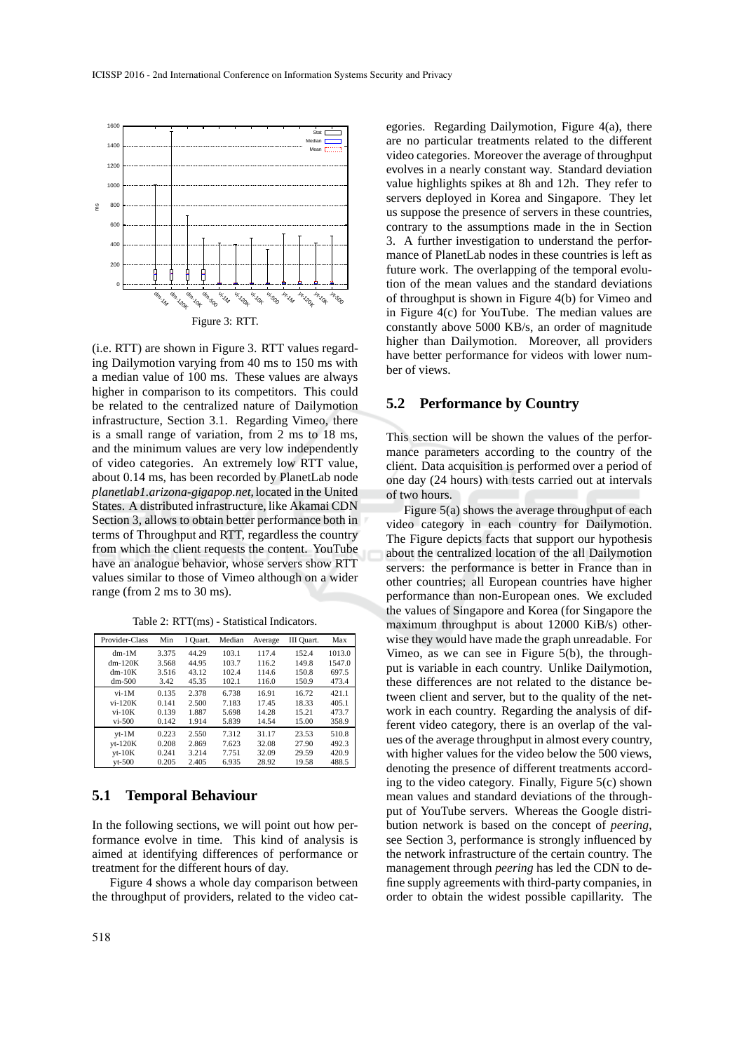

(i.e. RTT) are shown in Figure 3. RTT values regarding Dailymotion varying from 40 ms to 150 ms with a median value of 100 ms. These values are always higher in comparison to its competitors. This could be related to the centralized nature of Dailymotion infrastructure, Section 3.1. Regarding Vimeo, there is a small range of variation, from 2 ms to 18 ms, and the minimum values are very low independently of video categories. An extremely low RTT value, about 0.14 ms, has been recorded by PlanetLab node *planetlab1.arizona-gigapop.net*, located in the United States. A distributed infrastructure, like Akamai CDN Section 3, allows to obtain better performance both in terms of Throughput and RTT, regardless the country from which the client requests the content. YouTube have an analogue behavior, whose servers show RTT values similar to those of Vimeo although on a wider range (from 2 ms to 30 ms).

| Table 2: RTT(ms) - Statistical Indicators. |  |  |
|--------------------------------------------|--|--|
|--------------------------------------------|--|--|

| Provider-Class | Min   | I Quart. | Median | Average | III Ouart. | Max    |
|----------------|-------|----------|--------|---------|------------|--------|
| $dm-1M$        | 3.375 | 44.29    | 103.1  | 117.4   | 152.4      | 1013.0 |
| $dm-120K$      | 3.568 | 44.95    | 103.7  | 116.2   | 149.8      | 1547.0 |
| $dm-10K$       | 3.516 | 43.12    | 102.4  | 114.6   | 150.8      | 697.5  |
| $dm-500$       | 3.42  | 45.35    | 102.1  | 116.0   | 150.9      | 473.4  |
| $vi-1M$        | 0.135 | 2.378    | 6.738  | 16.91   | 16.72      | 421.1  |
| $vi-120K$      | 0.141 | 2.500    | 7.183  | 17.45   | 18.33      | 405.1  |
| $vi-10K$       | 0.139 | 1.887    | 5.698  | 14.28   | 15.21      | 473.7  |
| $vi-500$       | 0.142 | 1.914    | 5.839  | 14.54   | 15.00      | 358.9  |
| $vt-1M$        | 0.223 | 2.550    | 7.312  | 31.17   | 23.53      | 510.8  |
| $vt-120K$      | 0.208 | 2.869    | 7.623  | 32.08   | 27.90      | 492.3  |
| $vt-10K$       | 0.241 | 3.214    | 7.751  | 32.09   | 29.59      | 420.9  |
| $vt-500$       | 0.205 | 2.405    | 6.935  | 28.92   | 19.58      | 488.5  |

#### **5.1 Temporal Behaviour**

In the following sections, we will point out how performance evolve in time. This kind of analysis is aimed at identifying differences of performance or treatment for the different hours of day.

Figure 4 shows a whole day comparison between the throughput of providers, related to the video categories. Regarding Dailymotion, Figure 4(a), there are no particular treatments related to the different video categories. Moreover the average of throughput evolves in a nearly constant way. Standard deviation value highlights spikes at 8h and 12h. They refer to servers deployed in Korea and Singapore. They let us suppose the presence of servers in these countries, contrary to the assumptions made in the in Section 3. A further investigation to understand the performance of PlanetLab nodes in these countries is left as future work. The overlapping of the temporal evolution of the mean values and the standard deviations of throughput is shown in Figure 4(b) for Vimeo and in Figure 4(c) for YouTube. The median values are constantly above 5000 KB/s, an order of magnitude higher than Dailymotion. Moreover, all providers have better performance for videos with lower number of views.

#### **5.2 Performance by Country**

This section will be shown the values of the performance parameters according to the country of the client. Data acquisition is performed over a period of one day (24 hours) with tests carried out at intervals of two hours.

Figure 5(a) shows the average throughput of each video category in each country for Dailymotion. The Figure depicts facts that support our hypothesis about the centralized location of the all Dailymotion servers: the performance is better in France than in other countries; all European countries have higher performance than non-European ones. We excluded the values of Singapore and Korea (for Singapore the maximum throughput is about 12000 KiB/s) otherwise they would have made the graph unreadable. For Vimeo, as we can see in Figure 5(b), the throughput is variable in each country. Unlike Dailymotion, these differences are not related to the distance between client and server, but to the quality of the network in each country. Regarding the analysis of different video category, there is an overlap of the values of the average throughput in almost every country, with higher values for the video below the 500 views, denoting the presence of different treatments according to the video category. Finally, Figure 5(c) shown mean values and standard deviations of the throughput of YouTube servers. Whereas the Google distribution network is based on the concept of *peering*, see Section 3, performance is strongly influenced by the network infrastructure of the certain country. The management through *peering* has led the CDN to define supply agreements with third-party companies, in order to obtain the widest possible capillarity. The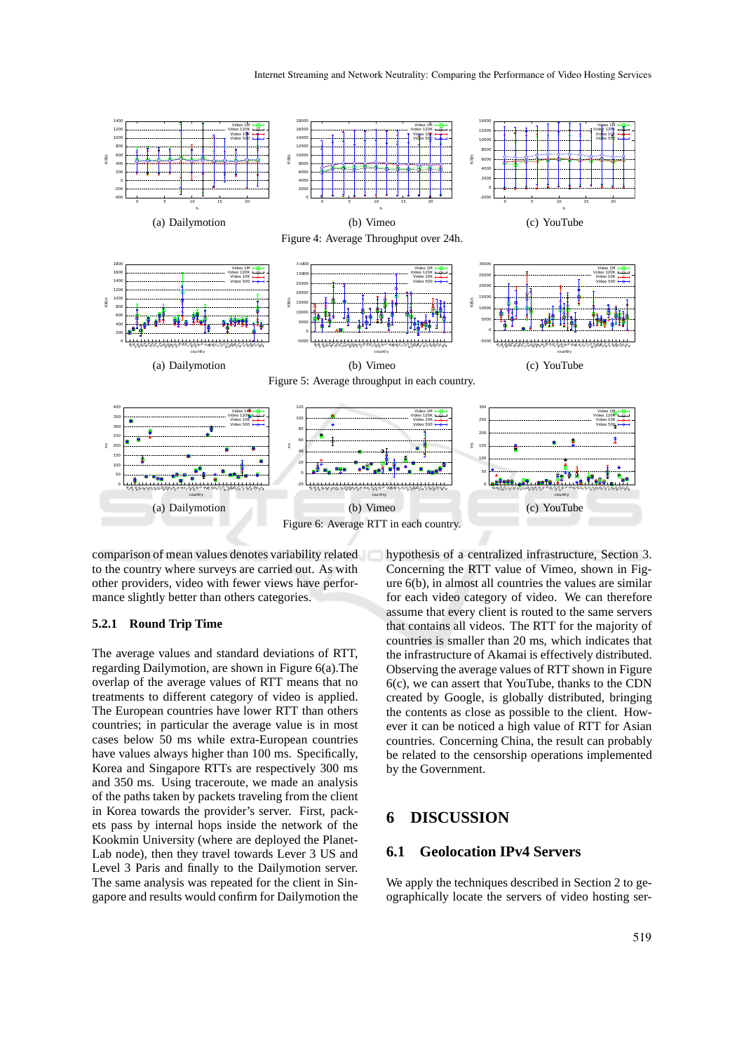

comparison of mean values denotes variability related to the country where surveys are carried out. As with other providers, video with fewer views have performance slightly better than others categories.

#### **5.2.1 Round Trip Time**

The average values and standard deviations of RTT, regarding Dailymotion, are shown in Figure 6(a).The overlap of the average values of RTT means that no treatments to different category of video is applied. The European countries have lower RTT than others countries; in particular the average value is in most cases below 50 ms while extra-European countries have values always higher than 100 ms. Specifically, Korea and Singapore RTTs are respectively 300 ms and 350 ms. Using traceroute, we made an analysis of the paths taken by packets traveling from the client in Korea towards the provider's server. First, packets pass by internal hops inside the network of the Kookmin University (where are deployed the Planet-Lab node), then they travel towards Lever 3 US and Level 3 Paris and finally to the Dailymotion server. The same analysis was repeated for the client in Singapore and results would confirm for Dailymotion the

hypothesis of a centralized infrastructure, Section 3. Concerning the RTT value of Vimeo, shown in Figure 6(b), in almost all countries the values are similar for each video category of video. We can therefore assume that every client is routed to the same servers that contains all videos. The RTT for the majority of countries is smaller than 20 ms, which indicates that the infrastructure of Akamai is effectively distributed. Observing the average values of RTT shown in Figure 6(c), we can assert that YouTube, thanks to the CDN created by Google, is globally distributed, bringing the contents as close as possible to the client. However it can be noticed a high value of RTT for Asian countries. Concerning China, the result can probably be related to the censorship operations implemented by the Government.

### **6 DISCUSSION**

#### **6.1 Geolocation IPv4 Servers**

We apply the techniques described in Section 2 to geographically locate the servers of video hosting ser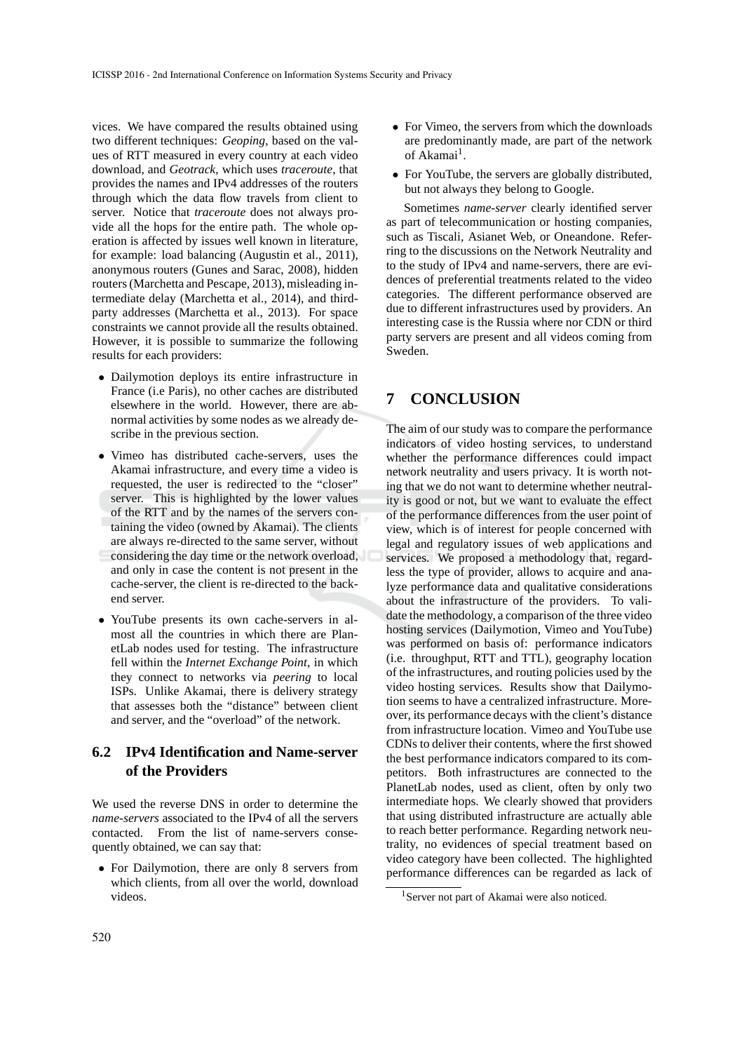vices. We have compared the results obtained using two different techniques: *Geoping*, based on the values of RTT measured in every country at each video download, and *Geotrack*, which uses *traceroute*, that provides the names and IPv4 addresses of the routers through which the data flow travels from client to server. Notice that *traceroute* does not always provide all the hops for the entire path. The whole operation is affected by issues well known in literature, for example: load balancing (Augustin et al., 2011), anonymous routers (Gunes and Sarac, 2008), hidden routers (Marchetta and Pescape, 2013), misleading intermediate delay (Marchetta et al., 2014), and thirdparty addresses (Marchetta et al., 2013). For space constraints we cannot provide all the results obtained. However, it is possible to summarize the following results for each providers:

- Dailymotion deploys its entire infrastructure in France (i.e Paris), no other caches are distributed elsewhere in the world. However, there are abnormal activities by some nodes as we already describe in the previous section.
- Vimeo has distributed cache-servers, uses the Akamai infrastructure, and every time a video is requested, the user is redirected to the "closer" server. This is highlighted by the lower values of the RTT and by the names of the servers containing the video (owned by Akamai). The clients are always re-directed to the same server, without considering the day time or the network overload, and only in case the content is not present in the cache-server, the client is re-directed to the backend server.
- YouTube presents its own cache-servers in almost all the countries in which there are PlanetLab nodes used for testing. The infrastructure fell within the *Internet Exchange Point*, in which they connect to networks via *peering* to local ISPs. Unlike Akamai, there is delivery strategy that assesses both the "distance" between client and server, and the "overload" of the network.

### **6.2 IPv4 Identification and Name-server of the Providers**

We used the reverse DNS in order to determine the *name-servers* associated to the IPv4 of all the servers contacted. From the list of name-servers consequently obtained, we can say that:

• For Dailymotion, there are only 8 servers from which clients, from all over the world, download videos.

- For Vimeo, the servers from which the downloads are predominantly made, are part of the network of Akamai<sup>1</sup>.
- For YouTube, the servers are globally distributed, but not always they belong to Google.

Sometimes *name-server* clearly identified server as part of telecommunication or hosting companies, such as Tiscali, Asianet Web, or Oneandone. Referring to the discussions on the Network Neutrality and to the study of IPv4 and name-servers, there are evidences of preferential treatments related to the video categories. The different performance observed are due to different infrastructures used by providers. An interesting case is the Russia where nor CDN or third party servers are present and all videos coming from Sweden.

# **7 CONCLUSION**

The aim of our study was to compare the performance indicators of video hosting services, to understand whether the performance differences could impact network neutrality and users privacy. It is worth noting that we do not want to determine whether neutrality is good or not, but we want to evaluate the effect of the performance differences from the user point of view, which is of interest for people concerned with legal and regulatory issues of web applications and services. We proposed a methodology that, regardless the type of provider, allows to acquire and analyze performance data and qualitative considerations about the infrastructure of the providers. To validate the methodology, a comparison of the three video hosting services (Dailymotion, Vimeo and YouTube) was performed on basis of: performance indicators (i.e. throughput, RTT and TTL), geography location of the infrastructures, and routing policies used by the video hosting services. Results show that Dailymotion seems to have a centralized infrastructure. Moreover, its performance decays with the client's distance from infrastructure location. Vimeo and YouTube use CDNs to deliver their contents, where the first showed the best performance indicators compared to its competitors. Both infrastructures are connected to the PlanetLab nodes, used as client, often by only two intermediate hops. We clearly showed that providers that using distributed infrastructure are actually able to reach better performance. Regarding network neutrality, no evidences of special treatment based on video category have been collected. The highlighted performance differences can be regarded as lack of

<sup>&</sup>lt;sup>1</sup>Server not part of Akamai were also noticed.